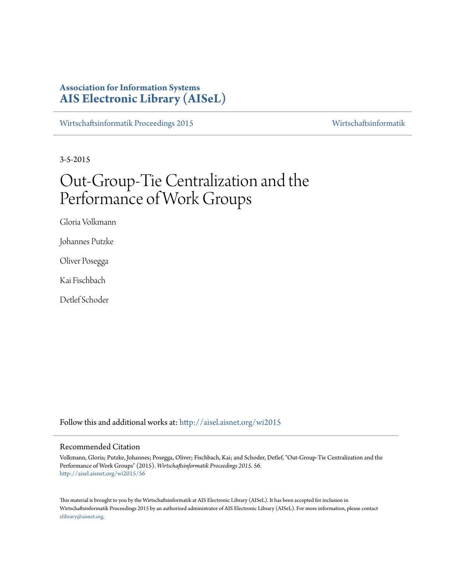# **Association for Information Systems [AIS Electronic Library \(AISeL\)](http://aisel.aisnet.org?utm_source=aisel.aisnet.org%2Fwi2015%2F56&utm_medium=PDF&utm_campaign=PDFCoverPages)**

[Wirtschaftsinformatik Proceedings 2015](http://aisel.aisnet.org/wi2015?utm_source=aisel.aisnet.org%2Fwi2015%2F56&utm_medium=PDF&utm_campaign=PDFCoverPages) [Wirtschaftsinformatik](http://aisel.aisnet.org/wi?utm_source=aisel.aisnet.org%2Fwi2015%2F56&utm_medium=PDF&utm_campaign=PDFCoverPages)

3-5-2015

# Out-Group-Tie Centralization and the Performance of Work Groups

Gloria Volkmann

Johannes Putzke

Oliver Posegga

Kai Fischbach

Detlef Schoder

Follow this and additional works at: [http://aisel.aisnet.org/wi2015](http://aisel.aisnet.org/wi2015?utm_source=aisel.aisnet.org%2Fwi2015%2F56&utm_medium=PDF&utm_campaign=PDFCoverPages)

#### Recommended Citation

Volkmann, Gloria; Putzke, Johannes; Posegga, Oliver; Fischbach, Kai; and Schoder, Detlef, "Out-Group-Tie Centralization and the Performance of Work Groups" (2015). *Wirtschaftsinformatik Proceedings 2015*. 56. [http://aisel.aisnet.org/wi2015/56](http://aisel.aisnet.org/wi2015/56?utm_source=aisel.aisnet.org%2Fwi2015%2F56&utm_medium=PDF&utm_campaign=PDFCoverPages)

This material is brought to you by the Wirtschaftsinformatik at AIS Electronic Library (AISeL). It has been accepted for inclusion in Wirtschaftsinformatik Proceedings 2015 by an authorized administrator of AIS Electronic Library (AISeL). For more information, please contact [elibrary@aisnet.org.](mailto:elibrary@aisnet.org%3E)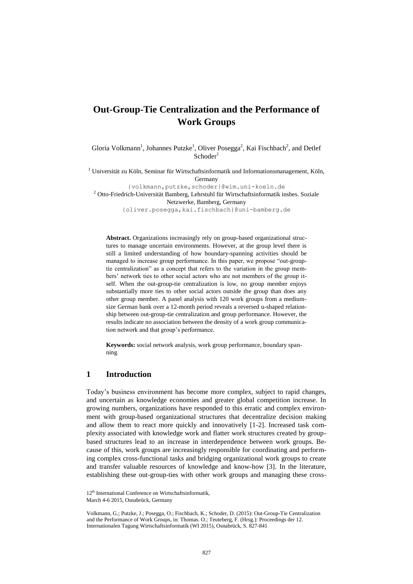# **Out-Group-Tie Centralization and the Performance of Work Groups**

Gloria Volkmann<sup>1</sup>, Johannes Putzke<sup>1</sup>, Oliver Posegga<sup>2</sup>, Kai Fischbach<sup>2</sup>, and Detlef  $Schoder<sup>1</sup>$ 

<sup>1</sup> Universität zu Köln, Seminar für Wirtschaftsinformatik und Informationsmanagement, Köln, Germany

{volkmann,putzke,schoder}@wim.uni-koeln.de  $2$  Otto-Friedrich-Universität Bamberg, Lehrstuhl für Wirtschaftsinformatik insbes. Soziale Netzwerke, Bamberg, Germany {oliver.posegga,kai.fischbach}@uni-bamberg.de

**Abstract.** Organizations increasingly rely on group-based organizational structures to manage uncertain environments. However, at the group level there is still a limited understanding of how boundary-spanning activities should be managed to increase group performance. In this paper, we propose "out-grouptie centralization" as a concept that refers to the variation in the group members' network ties to other social actors who are not members of the group itself. When the out-group-tie centralization is low, no group member enjoys substantially more ties to other social actors outside the group than does any other group member. A panel analysis with 120 work groups from a mediumsize German bank over a 12-month period reveals a reversed u-shaped relationship between out-group-tie centralization and group performance. However, the results indicate no association between the density of a work group communication network and that group's performance.

**Keywords:** social network analysis, work group performance, boundary spanning

## **1 Introduction**

Today's business environment has become more complex, subject to rapid changes, and uncertain as knowledge economies and greater global competition increase. In growing numbers, organizations have responded to this erratic and complex environment with group-based organizational structures that decentralize decision making and allow them to react more quickly and innovatively [1-2]. Increased task complexity associated with knowledge work and flatter work structures created by groupbased structures lead to an increase in interdependence between work groups. Because of this, work groups are increasingly responsible for coordinating and performing complex cross-functional tasks and bridging organizational work groups to create and transfer valuable resources of knowledge and know-how [3]. In the literature, establishing these out-group-ties with other work groups and managing these cross-

<sup>12&</sup>lt;sup>th</sup> International Conference on Wirtschaftsinformatik,

March 4-6 2015, Osnabrück, Germany

Volkmann, G.; Putzke, J.; Posegga, O.; Fischbach, K.; Schoder, D. (2015): Out-Group-Tie Centralization and the Performance of Work Groups, in: Thomas. O.; Teuteberg, F. (Hrsg.): Proceedings der 12. Internationalen Tagung Wirtschaftsinformatik (WI 2015), Osnabrück, S. 827-841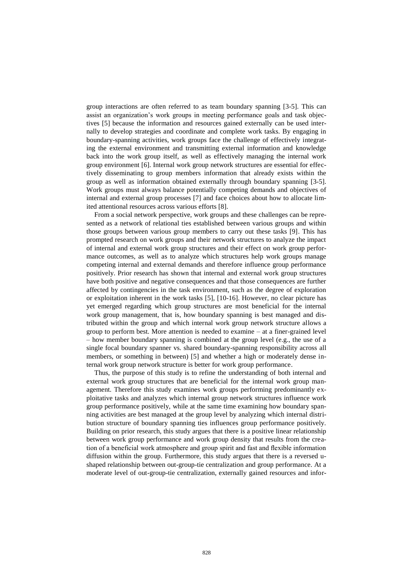group interactions are often referred to as team boundary spanning [3-5]. This can assist an organization's work groups in meeting performance goals and task objectives [5] because the information and resources gained externally can be used internally to develop strategies and coordinate and complete work tasks. By engaging in boundary-spanning activities, work groups face the challenge of effectively integrating the external environment and transmitting external information and knowledge back into the work group itself, as well as effectively managing the internal work group environment [6]. Internal work group network structures are essential for effectively disseminating to group members information that already exists within the group as well as information obtained externally through boundary spanning [3-5]. Work groups must always balance potentially competing demands and objectives of internal and external group processes [7] and face choices about how to allocate limited attentional resources across various efforts [8].

From a social network perspective, work groups and these challenges can be represented as a network of relational ties established between various groups and within those groups between various group members to carry out these tasks [9]. This has prompted research on work groups and their network structures to analyze the impact of internal and external work group structures and their effect on work group performance outcomes, as well as to analyze which structures help work groups manage competing internal and external demands and therefore influence group performance positively. Prior research has shown that internal and external work group structures have both positive and negative consequences and that those consequences are further affected by contingencies in the task environment, such as the degree of exploration or exploitation inherent in the work tasks [5], [10-16]. However, no clear picture has yet emerged regarding which group structures are most beneficial for the internal work group management, that is, how boundary spanning is best managed and distributed within the group and which internal work group network structure allows a group to perform best. More attention is needed to examine – at a finer-grained level – how member boundary spanning is combined at the group level (e.g., the use of a single focal boundary spanner vs. shared boundary-spanning responsibility across all members, or something in between) [5] and whether a high or moderately dense internal work group network structure is better for work group performance.

Thus, the purpose of this study is to refine the understanding of both internal and external work group structures that are beneficial for the internal work group management. Therefore this study examines work groups performing predominantly exploitative tasks and analyzes which internal group network structures influence work group performance positively, while at the same time examining how boundary spanning activities are best managed at the group level by analyzing which internal distribution structure of boundary spanning ties influences group performance positively. Building on prior research, this study argues that there is a positive linear relationship between work group performance and work group density that results from the creation of a beneficial work atmosphere and group spirit and fast and flexible information diffusion within the group. Furthermore, this study argues that there is a reversed ushaped relationship between out-group-tie centralization and group performance. At a moderate level of out-group-tie centralization, externally gained resources and infor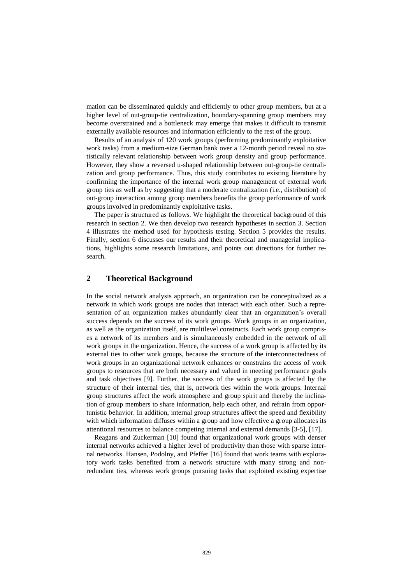mation can be disseminated quickly and efficiently to other group members, but at a higher level of out-group-tie centralization, boundary-spanning group members may become overstrained and a bottleneck may emerge that makes it difficult to transmit externally available resources and information efficiently to the rest of the group.

Results of an analysis of 120 work groups (performing predominantly exploitative work tasks) from a medium-size German bank over a 12-month period reveal no statistically relevant relationship between work group density and group performance. However, they show a reversed u-shaped relationship between out-group-tie centralization and group performance. Thus, this study contributes to existing literature by confirming the importance of the internal work group management of external work group ties as well as by suggesting that a moderate centralization (i.e., distribution) of out-group interaction among group members benefits the group performance of work groups involved in predominantly exploitative tasks.

The paper is structured as follows. We highlight the theoretical background of this research in section 2. We then develop two research hypotheses in section 3. Section 4 illustrates the method used for hypothesis testing. Section 5 provides the results. Finally, section 6 discusses our results and their theoretical and managerial implications, highlights some research limitations, and points out directions for further research.

# **2 Theoretical Background**

In the social network analysis approach, an organization can be conceptualized as a network in which work groups are nodes that interact with each other. Such a representation of an organization makes abundantly clear that an organization's overall success depends on the success of its work groups. Work groups in an organization, as well as the organization itself, are multilevel constructs. Each work group comprises a network of its members and is simultaneously embedded in the network of all work groups in the organization. Hence, the success of a work group is affected by its external ties to other work groups, because the structure of the interconnectedness of work groups in an organizational network enhances or constrains the access of work groups to resources that are both necessary and valued in meeting performance goals and task objectives [9]. Further, the success of the work groups is affected by the structure of their internal ties, that is, network ties within the work groups. Internal group structures affect the work atmosphere and group spirit and thereby the inclination of group members to share information, help each other, and refrain from opportunistic behavior. In addition, internal group structures affect the speed and flexibility with which information diffuses within a group and how effective a group allocates its attentional resources to balance competing internal and external demands [3-5], [17].

Reagans and Zuckerman [10] found that organizational work groups with denser internal networks achieved a higher level of productivity than those with sparse internal networks. Hansen, Podolny, and Pfeffer [16] found that work teams with exploratory work tasks benefited from a network structure with many strong and nonredundant ties, whereas work groups pursuing tasks that exploited existing expertise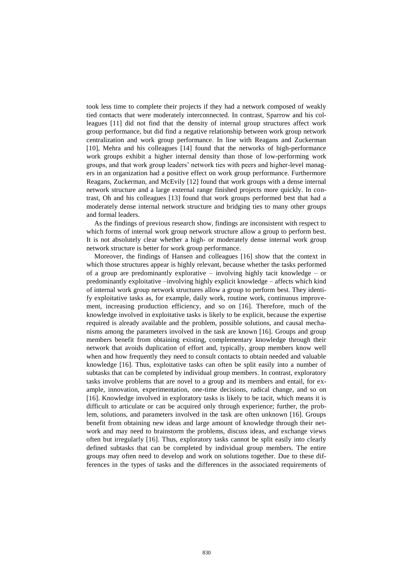took less time to complete their projects if they had a network composed of weakly tied contacts that were moderately interconnected. In contrast, Sparrow and his colleagues [11] did not find that the density of internal group structures affect work group performance, but did find a negative relationship between work group network centralization and work group performance. In line with Reagans and Zuckerman [10], Mehra and his colleagues [14] found that the networks of high-performance work groups exhibit a higher internal density than those of low-performing work groups, and that work group leaders' network ties with peers and higher-level managers in an organization had a positive effect on work group performance. Furthermore Reagans, Zuckerman, and McEvily [12] found that work groups with a dense internal network structure and a large external range finished projects more quickly. In contrast, Oh and his colleagues [13] found that work groups performed best that had a moderately dense internal network structure and bridging ties to many other groups and formal leaders.

As the findings of previous research show, findings are inconsistent with respect to which forms of internal work group network structure allow a group to perform best. It is not absolutely clear whether a high- or moderately dense internal work group network structure is better for work group performance.

Moreover, the findings of Hansen and colleagues [16] show that the context in which those structures appear is highly relevant, because whether the tasks performed of a group are predominantly explorative – involving highly tacit knowledge – or predominantly exploitative –involving highly explicit knowledge – affects which kind of internal work group network structures allow a group to perform best. They identify exploitative tasks as, for example, daily work, routine work, continuous improvement, increasing production efficiency, and so on [16]. Therefore, much of the knowledge involved in exploitative tasks is likely to be explicit, because the expertise required is already available and the problem, possible solutions, and causal mechanisms among the parameters involved in the task are known [16]. Groups and group members benefit from obtaining existing, complementary knowledge through their network that avoids duplication of effort and, typically, group members know well when and how frequently they need to consult contacts to obtain needed and valuable knowledge [16]. Thus, exploitative tasks can often be split easily into a number of subtasks that can be completed by individual group members. In contrast, exploratory tasks involve problems that are novel to a group and its members and entail, for example, innovation, experimentation, one-time decisions, radical change, and so on [16]. Knowledge involved in exploratory tasks is likely to be tacit, which means it is difficult to articulate or can be acquired only through experience; further, the problem, solutions, and parameters involved in the task are often unknown [16]. Groups benefit from obtaining new ideas and large amount of knowledge through their network and may need to brainstorm the problems, discuss ideas, and exchange views often but irregularly [16]. Thus, exploratory tasks cannot be split easily into clearly defined subtasks that can be completed by individual group members. The entire groups may often need to develop and work on solutions together. Due to these differences in the types of tasks and the differences in the associated requirements of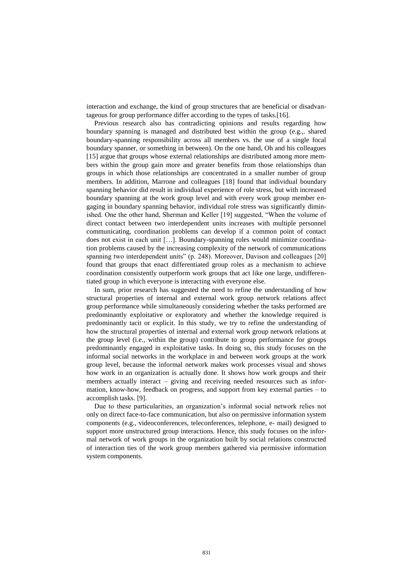interaction and exchange, the kind of group structures that are beneficial or disadvantageous for group performance differ according to the types of tasks.[16].

Previous research also has contradicting opinions and results regarding how boundary spanning is managed and distributed best within the group (e.g.,. shared boundary-spanning responsibility across all members vs. the use of a single focal boundary spanner, or something in between). On the one hand, Oh and his colleagues [15] argue that groups whose external relationships are distributed among more members within the group gain more and greater benefits from those relationships than groups in which those relationships are concentrated in a smaller number of group members. In addition, Marrone and colleagues [18] found that individual boundary spanning behavior did result in individual experience of role stress, but with increased boundary spanning at the work group level and with every work group member engaging in boundary spanning behavior, individual role stress was significantly diminished. One the other hand, Sherman and Keller [19] suggested, "When the volume of direct contact between two interdependent units increases with multiple personnel communicating, coordination problems can develop if a common point of contact does not exist in each unit […]. Boundary-spanning roles would minimize coordination problems caused by the increasing complexity of the network of communications spanning two interdependent units" (p. 248). Moreover, Davison and colleagues [20] found that groups that enact differentiated group roles as a mechanism to achieve coordination consistently outperform work groups that act like one large, undifferentiated group in which everyone is interacting with everyone else.

In sum, prior research has suggested the need to refine the understanding of how structural properties of internal and external work group network relations affect group performance while simultaneously considering whether the tasks performed are predominantly exploitative or exploratory and whether the knowledge required is predominantly tacit or explicit. In this study, we try to refine the understanding of how the structural properties of internal and external work group network relations at the group level (i.e., within the group) contribute to group performance for groups predominantly engaged in exploitative tasks. In doing so, this study focuses on the informal social networks in the workplace in and between work groups at the work group level, because the informal network makes work processes visual and shows how work in an organization is actually done. It shows how work groups and their members actually interact – giving and receiving needed resources such as information, know-how, feedback on progress, and support from key external parties – to accomplish tasks. [9].

Due to these particularities, an organization's informal social network relies not only on direct face-to-face communication, but also on permissive information system components (e.g., videoconferences, teleconferences, telephone, e- mail) designed to support more unstructured group interactions. Hence, this study focuses on the informal network of work groups in the organization built by social relations constructed of interaction ties of the work group members gathered via permissive information system components.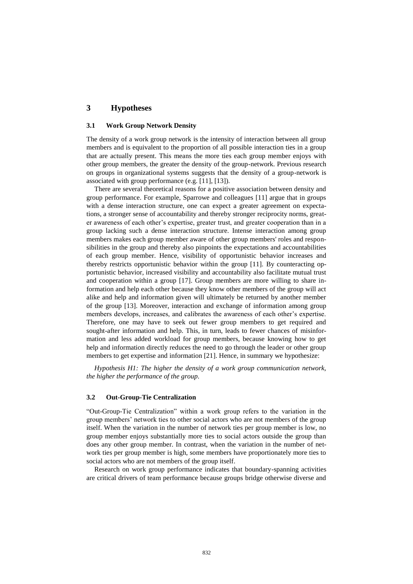# **3 Hypotheses**

#### **3.1 Work Group Network Density**

The density of a work group network is the intensity of interaction between all group members and is equivalent to the proportion of all possible interaction ties in a group that are actually present. This means the more ties each group member enjoys with other group members, the greater the density of the group-network. Previous research on groups in organizational systems suggests that the density of a group-network is associated with group performance (e.g. [11], [13]).

There are several theoretical reasons for a positive association between density and group performance. For example, Sparrowe and colleagues [11] argue that in groups with a dense interaction structure, one can expect a greater agreement on expectations, a stronger sense of accountability and thereby stronger reciprocity norms, greater awareness of each other's expertise, greater trust, and greater cooperation than in a group lacking such a dense interaction structure. Intense interaction among group members makes each group member aware of other group members' roles and responsibilities in the group and thereby also pinpoints the expectations and accountabilities of each group member. Hence, visibility of opportunistic behavior increases and thereby restricts opportunistic behavior within the group [11]. By counteracting opportunistic behavior, increased visibility and accountability also facilitate mutual trust and cooperation within a group [17]. Group members are more willing to share information and help each other because they know other members of the group will act alike and help and information given will ultimately be returned by another member of the group [13]. Moreover, interaction and exchange of information among group members develops, increases, and calibrates the awareness of each other's expertise. Therefore, one may have to seek out fewer group members to get required and sought-after information and help. This, in turn, leads to fewer chances of misinformation and less added workload for group members, because knowing how to get help and information directly reduces the need to go through the leader or other group members to get expertise and information [21]. Hence, in summary we hypothesize:

*Hypothesis H1: The higher the density of a work group communication network, the higher the performance of the group.*

#### **3.2 Out-Group-Tie Centralization**

"Out-Group-Tie Centralization" within a work group refers to the variation in the group members' network ties to other social actors who are not members of the group itself. When the variation in the number of network ties per group member is low, no group member enjoys substantially more ties to social actors outside the group than does any other group member. In contrast, when the variation in the number of network ties per group member is high, some members have proportionately more ties to social actors who are not members of the group itself.

Research on work group performance indicates that boundary-spanning activities are critical drivers of team performance because groups bridge otherwise diverse and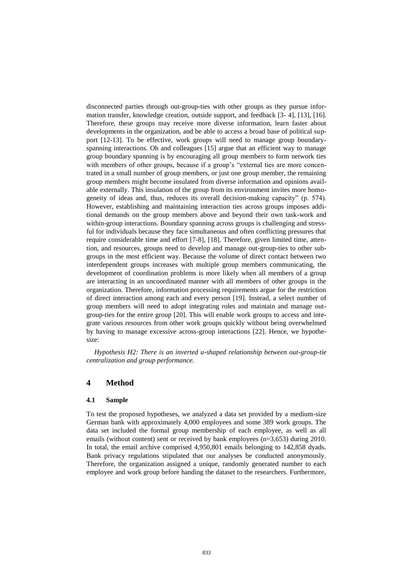disconnected parties through out-group-ties with other groups as they pursue information transfer, knowledge creation, outside support, and feedback [3- 4], [13], [16]. Therefore, these groups may receive more diverse information, learn faster about developments in the organization, and be able to access a broad base of political support [12-13]. To be effective, work groups will need to manage group boundaryspanning interactions. Oh and colleagues [15] argue that an efficient way to manage group boundary spanning is by encouraging all group members to form network ties with members of other groups, because if a group's "external ties are more concentrated in a small number of group members, or just one group member, the remaining group members might become insulated from diverse information and opinions available externally. This insulation of the group from its environment invites more homogeneity of ideas and, thus, reduces its overall decision-making capacity" (p. 574). However, establishing and maintaining interaction ties across groups imposes additional demands on the group members above and beyond their own task-work and within-group interactions. Boundary spanning across groups is challenging and stressful for individuals because they face simultaneous and often conflicting pressures that require considerable time and effort [7-8], [18]. Therefore, given limited time, attention, and resources, groups need to develop and manage out-group-ties to other subgroups in the most efficient way. Because the volume of direct contact between two interdependent groups increases with multiple group members communicating, the development of coordination problems is more likely when all members of a group are interacting in an uncoordinated manner with all members of other groups in the organization. Therefore, information processing requirements argue for the restriction of direct interaction among each and every person [19]. Instead, a select number of group members will need to adopt integrating roles and maintain and manage outgroup-ties for the entire group [20]. This will enable work groups to access and integrate various resources from other work groups quickly without being overwhelmed by having to manage excessive across-group interactions [22]. Hence, we hypothesize:

*Hypothesis H2: There is an inverted u-shaped relationship between out-group-tie centralization and group performance.*

## **4 Method**

#### **4.1 Sample**

To test the proposed hypotheses, we analyzed a data set provided by a medium-size German bank with approximately 4,000 employees and some 389 work groups. The data set included the formal group membership of each employee, as well as all emails (without content) sent or received by bank employees (n=3,653) during 2010. In total, the email archive comprised 4,950,801 emails belonging to 142,858 dyads. Bank privacy regulations stipulated that our analyses be conducted anonymously. Therefore, the organization assigned a unique, randomly generated number to each employee and work group before handing the dataset to the researchers. Furthermore,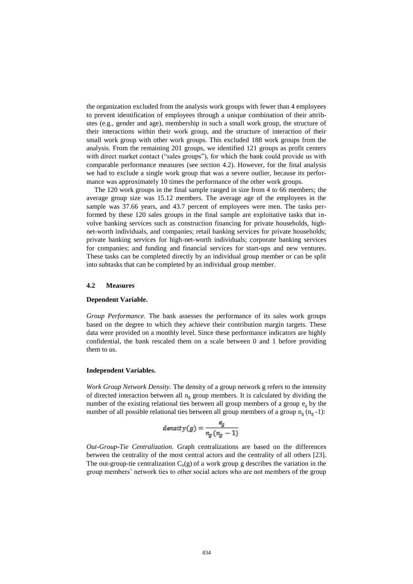the organization excluded from the analysis work groups with fewer than 4 employees to prevent identification of employees through a unique combination of their attributes (e.g., gender and age), membership in such a small work group, the structure of their interactions within their work group, and the structure of interaction of their small work group with other work groups. This excluded 188 work groups from the analysis. From the remaining 201 groups, we identified 121 groups as profit centers with direct market contact ("sales groups"), for which the bank could provide us with comparable performance measures (see section 4.2). However, for the final analysis we had to exclude a single work group that was a severe outlier, because its performance was approximately 10 times the performance of the other work groups.

The 120 work groups in the final sample ranged in size from 4 to 66 members; the average group size was 15.12 members. The average age of the employees in the sample was 37.66 years, and 43.7 percent of employees were men. The tasks performed by these 120 sales groups in the final sample are exploitative tasks that involve banking services such as construction financing for private households, highnet-worth individuals, and companies; retail banking services for private households; private banking services for high-net-worth individuals; corporate banking services for companies; and funding and financial services for start-ups and new ventures. These tasks can be completed directly by an individual group member or can be split into subtasks that can be completed by an individual group member.

#### **4.2 Measures**

#### **Dependent Variable.**

*Group Performance.* The bank assesses the performance of its sales work groups based on the degree to which they achieve their contribution margin targets. These data were provided on a monthly level. Since these performance indicators are highly confidential, the bank rescaled them on a scale between 0 and 1 before providing them to us.

#### **Independent Variables.**

*Work Group Network Density.* The density of a group network g refers to the intensity of directed interaction between all  $n<sub>o</sub>$  group members. It is calculated by dividing the number of the existing relational ties between all group members of a group  $e_{\varphi}$  by the number of all possible relational ties between all group members of a group  $n_g$  ( $n_g$ -1):

$$
density(g) = \frac{e_g}{n_g(n_g - 1)}
$$

*Out-Group-Tie Centralization.* Graph centralizations are based on the differences between the centrality of the most central actors and the centrality of all others [23]. The out-group-tie centralization  $C_0(g)$  of a work group g describes the variation in the group members' network ties to other social actors who are not members of the group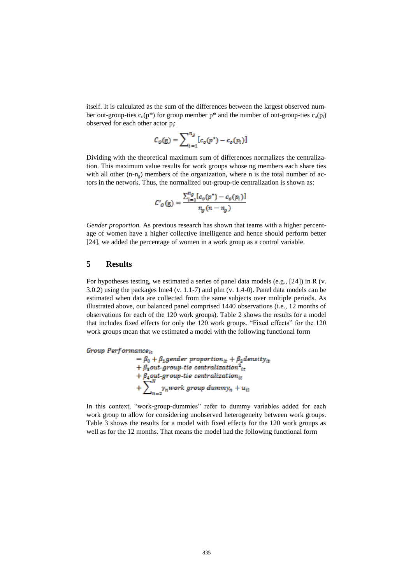itself. It is calculated as the sum of the differences between the largest observed number out-group-ties  $c_0(p^*)$  for group member  $p^*$  and the number of out-group-ties  $c_0(p_i)$ observed for each other actor p<sup>i</sup> :

$$
C_o(g) = \sum_{i=1}^{n_g} [c_o(p^*) - c_o(p_i)]
$$

Dividing with the theoretical maximum sum of differences normalizes the centralization. This maximum value results for work groups whose ng members each share ties with all other  $(n-n<sub>g</sub>)$  members of the organization, where n is the total number of actors in the network. Thus, the normalized out-group-tie centralization is shown as:

$$
C'_{o}(\mathbf{g}) = \frac{\sum_{i=1}^{n_g} [c_{o}(p^*) - c_{o}(p_i)]}{n_o(n - n_o)}
$$

*Gender proportion.* As previous research has shown that teams with a higher percentage of women have a higher collective intelligence and hence should perform better [24], we added the percentage of women in a work group as a control variable.

# **5 Results**

For hypotheses testing, we estimated a series of panel data models (e.g., [24]) in R (v. 3.0.2) using the packages lme4 (v. 1.1-7) and plm (v. 1.4-0). Panel data models can be estimated when data are collected from the same subjects over multiple periods. As illustrated above, our balanced panel comprised 1440 observations (i.e., 12 months of observations for each of the 120 work groups). Table 2 shows the results for a model that includes fixed effects for only the 120 work groups. "Fixed effects" for the 120 work groups mean that we estimated a model with the following functional form

Group Performance<sub>it</sub>  $\begin{array}{l} \mathcal{L}^{a} = \beta_0 + \beta_1 \textit{gender proportion}_{it} + \beta_2 \textit{density}_{it} \\ + \beta_2 \textit{out-group-tie centralization}^2_{it} \\ + \beta_4 \textit{out-group-tie centralization}_{it} \\ + \sum\nolimits_{n=2}^{N} \gamma_n \textit{work group dummy}_n + u_{it} \end{array}$ 

In this context, "work-group-dummies" refer to dummy variables added for each work group to allow for considering unobserved heterogeneity between work groups. Table 3 shows the results for a model with fixed effects for the 120 work groups as well as for the 12 months. That means the model had the following functional form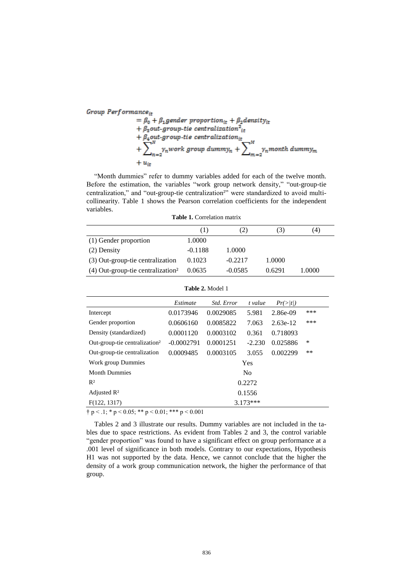Group Performance<sub>it</sub>  $\begin{array}{l} \mathcal{L} = \beta_0 + \beta_1 \textit{gender proportion}_{it} + \beta_2 \textit{density}_{it} \\ \mathcal{L} = \beta_0 + \beta_1 \textit{gender proportion}_{it} + \beta_2 \textit{out-group-tie centralization}_{it} \\ \mathcal{L} = \beta_4 \textit{out-group-tie centralization}_{it} \\ \mathcal{L} = \sum_{n=2}^N \gamma_n \textit{work group dummy}_n + \sum_{m=2}^N \gamma_n \textit{month dummy}_m \end{array}$ 

"Month dummies" refer to dummy variables added for each of the twelve month. Before the estimation, the variables "work group network density," "out-group-tie centralization," and "out-group-tie centralization²" were standardized to avoid multicollinearity. Table 1 shows the Pearson correlation coefficients for the independent variables.

**Table 1.** Correlation matrix

|                                                 | (1)       | $\angle$ ) | (3)    | (4)    |
|-------------------------------------------------|-----------|------------|--------|--------|
| (1) Gender proportion                           | 1.0000    |            |        |        |
| (2) Density                                     | $-0.1188$ | 1.0000     |        |        |
| (3) Out-group-tie centralization                | 0.1023    | $-0.2217$  | 1.0000 |        |
| $(4)$ Out-group-tie centralization <sup>2</sup> | 0.0635    | $-0.0585$  | 0.6291 | 1.0000 |

|--|

|                                           | Estimate       | Std. Error | t value  | Pr(>/t)    |      |  |
|-------------------------------------------|----------------|------------|----------|------------|------|--|
| Intercept                                 | 0.0173946      | 0.0029085  | 5.981    | 2.86e-09   | ***  |  |
| Gender proportion                         | 0.0606160      | 0.0085822  | 7.063    | $2.63e-12$ | ***  |  |
| Density (standardized)                    | 0.0001120      | 0.0003102  | 0.361    | 0.718093   |      |  |
| Out-group-tie centralization <sup>2</sup> | $-0.0002791$   | 0.0001251  | $-2.230$ | 0.025886   | *    |  |
| Out-group-tie centralization              | 0.0009485      | 0.0003105  | 3.055    | 0.002299   | $**$ |  |
| Work group Dummies                        | Yes            |            |          |            |      |  |
| <b>Month Dummies</b>                      | N <sub>0</sub> |            |          |            |      |  |
| $R^2$                                     | 0.2272         |            |          |            |      |  |
| Adjusted $\mathbb{R}^2$                   | 0.1556         |            |          |            |      |  |
| F(122, 1317)                              | $3.173***$     |            |          |            |      |  |

 $\dagger$  p < .1; \* p < 0.05; \*\* p < 0.01; \*\*\* p < 0.001

Tables 2 and 3 illustrate our results. Dummy variables are not included in the tables due to space restrictions. As evident from Tables 2 and 3, the control variable "gender proportion" was found to have a significant effect on group performance at a .001 level of significance in both models. Contrary to our expectations, Hypothesis H1 was not supported by the data. Hence, we cannot conclude that the higher the density of a work group communication network, the higher the performance of that group.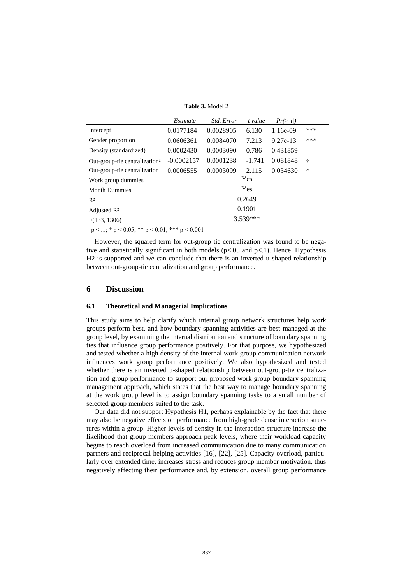**Table 3.** Model 2

|                                           | Estimate     | Std. Error | t value  | Pr(>/t)    |     |  |
|-------------------------------------------|--------------|------------|----------|------------|-----|--|
| Intercept                                 | 0.0177184    | 0.0028905  | 6.130    | $1.16e-09$ | *** |  |
| Gender proportion                         | 0.0606361    | 0.0084070  | 7.213    | 9.27e-13   | *** |  |
| Density (standardized)                    | 0.0002430    | 0.0003090  | 0.786    | 0.431859   |     |  |
| Out-group-tie centralization <sup>2</sup> | $-0.0002157$ | 0.0001238  | $-1.741$ | 0.081848   | ÷   |  |
| Out-group-tie centralization              | 0.0006555    | 0.0003099  | 2.115    | 0.034630   | ∗   |  |
| Work group dummies                        | Yes          |            |          |            |     |  |
| <b>Month Dummies</b>                      | Yes          |            |          |            |     |  |
| $R^2$                                     | 0.2649       |            |          |            |     |  |
| Adjusted $\mathbb{R}^2$                   | 0.1901       |            |          |            |     |  |
| F(133, 1306)                              | 3.539***     |            |          |            |     |  |

 $\dagger$  p < .1; \* p < 0.05; \*\* p < 0.01; \*\*\* p < 0.001

However, the squared term for out-group tie centralization was found to be negative and statistically significant in both models ( $p < .05$  and  $p < .1$ ). Hence, Hypothesis H2 is supported and we can conclude that there is an inverted u-shaped relationship between out-group-tie centralization and group performance.

## **6 Discussion**

#### **6.1 Theoretical and Managerial Implications**

This study aims to help clarify which internal group network structures help work groups perform best, and how boundary spanning activities are best managed at the group level, by examining the internal distribution and structure of boundary spanning ties that influence group performance positively. For that purpose, we hypothesized and tested whether a high density of the internal work group communication network influences work group performance positively. We also hypothesized and tested whether there is an inverted u-shaped relationship between out-group-tie centralization and group performance to support our proposed work group boundary spanning management approach, which states that the best way to manage boundary spanning at the work group level is to assign boundary spanning tasks to a small number of selected group members suited to the task.

Our data did not support Hypothesis H1, perhaps explainable by the fact that there may also be negative effects on performance from high-grade dense interaction structures within a group. Higher levels of density in the interaction structure increase the likelihood that group members approach peak levels, where their workload capacity begins to reach overload from increased communication due to many communication partners and reciprocal helping activities [16], [22], [25]. Capacity overload, particularly over extended time, increases stress and reduces group member motivation, thus negatively affecting their performance and, by extension, overall group performance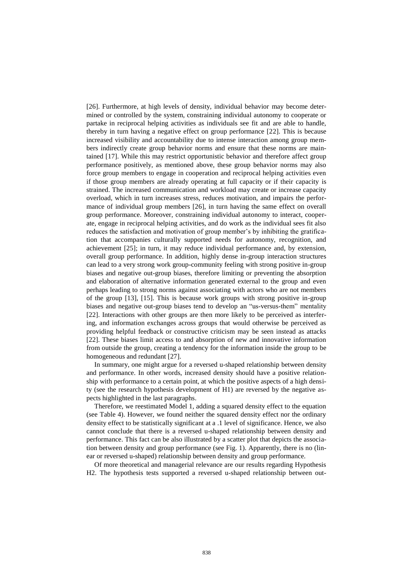[26]. Furthermore, at high levels of density, individual behavior may become determined or controlled by the system, constraining individual autonomy to cooperate or partake in reciprocal helping activities as individuals see fit and are able to handle, thereby in turn having a negative effect on group performance [22]. This is because increased visibility and accountability due to intense interaction among group members indirectly create group behavior norms and ensure that these norms are maintained [17]. While this may restrict opportunistic behavior and therefore affect group performance positively, as mentioned above, these group behavior norms may also force group members to engage in cooperation and reciprocal helping activities even if those group members are already operating at full capacity or if their capacity is strained. The increased communication and workload may create or increase capacity overload, which in turn increases stress, reduces motivation, and impairs the performance of individual group members [26], in turn having the same effect on overall group performance. Moreover, constraining individual autonomy to interact, cooperate, engage in reciprocal helping activities, and do work as the individual sees fit also reduces the satisfaction and motivation of group member's by inhibiting the gratification that accompanies culturally supported needs for autonomy, recognition, and achievement [25]; in turn, it may reduce individual performance and, by extension, overall group performance. In addition, highly dense in-group interaction structures can lead to a very strong work group-community feeling with strong positive in-group biases and negative out-group biases, therefore limiting or preventing the absorption and elaboration of alternative information generated external to the group and even perhaps leading to strong norms against associating with actors who are not members of the group [13], [15]. This is because work groups with strong positive in-group biases and negative out-group biases tend to develop an "us-versus-them" mentality [22]. Interactions with other groups are then more likely to be perceived as interfering, and information exchanges across groups that would otherwise be perceived as providing helpful feedback or constructive criticism may be seen instead as attacks [22]. These biases limit access to and absorption of new and innovative information from outside the group, creating a tendency for the information inside the group to be homogeneous and redundant [27].

In summary, one might argue for a reversed u-shaped relationship between density and performance. In other words, increased density should have a positive relationship with performance to a certain point, at which the positive aspects of a high density (see the research hypothesis development of H1) are reversed by the negative aspects highlighted in the last paragraphs.

Therefore, we reestimated Model 1, adding a squared density effect to the equation (see Table 4). However, we found neither the squared density effect nor the ordinary density effect to be statistically significant at a .1 level of significance. Hence, we also cannot conclude that there is a reversed u-shaped relationship between density and performance. This fact can be also illustrated by a scatter plot that depicts the association between density and group performance (see Fig. 1). Apparently, there is no (linear or reversed u-shaped) relationship between density and group performance.

Of more theoretical and managerial relevance are our results regarding Hypothesis H2. The hypothesis tests supported a reversed u-shaped relationship between out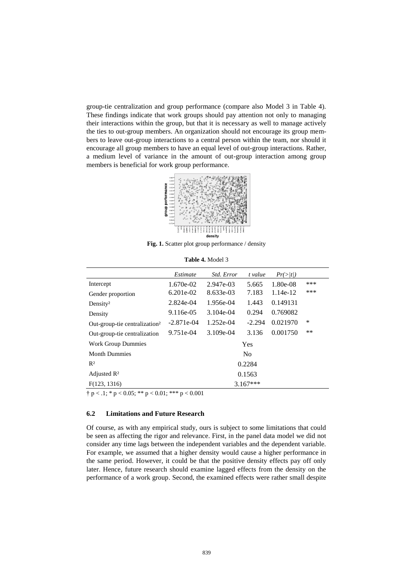group-tie centralization and group performance (compare also Model 3 in Table 4). These findings indicate that work groups should pay attention not only to managing their interactions within the group, but that it is necessary as well to manage actively the ties to out-group members. An organization should not encourage its group members to leave out-group interactions to a central person within the team, nor should it encourage all group members to have an equal level of out-group interactions. Rather, a medium level of variance in the amount of out-group interaction among group members is beneficial for work group performance.



**Fig. 1.** Scatter plot group performance / density

|                                           | Estimate       | Std. Error  | t value  | Pr(>/t)  |      |
|-------------------------------------------|----------------|-------------|----------|----------|------|
| Intercept                                 | $1.670e-02$    | 2.947e-03   | 5.665    | 1.80e-08 | ***  |
| Gender proportion                         | $6.201e-02$    | 8.633e-03   | 7.183    | 1.14e-12 | ***  |
| Density <sup>2</sup>                      | 2.824e-04      | 1.956e-04   | 1.443    | 0.149131 |      |
| Density                                   | 9.116e-05      | $3.104e-04$ | 0.294    | 0.769082 |      |
| Out-group-tie centralization <sup>2</sup> | $-2.871e-04$   | 1.252e-04   | $-2.294$ | 0.021970 | ∗    |
| Out-group-tie centralization              | $9.751e-04$    | $3.109e-04$ | 3.136    | 0.001750 | $**$ |
| <b>Work Group Dummies</b>                 | Yes            |             |          |          |      |
| <b>Month Dummies</b>                      | N <sub>0</sub> |             |          |          |      |
| $R^2$                                     | 0.2284         |             |          |          |      |
| Adjusted $\mathbb{R}^2$                   | 0.1563         |             |          |          |      |
| F(123, 1316)                              | $3.167***$     |             |          |          |      |

**Table 4.** Model 3

 $\dagger p < 0.1$ ; \* p  $< 0.05$ ; \* \* p  $< 0.01$ ; \* \* \* p  $< 0.001$ 

#### **6.2 Limitations and Future Research**

Of course, as with any empirical study, ours is subject to some limitations that could be seen as affecting the rigor and relevance. First, in the panel data model we did not consider any time lags between the independent variables and the dependent variable. For example, we assumed that a higher density would cause a higher performance in the same period. However, it could be that the positive density effects pay off only later. Hence, future research should examine lagged effects from the density on the performance of a work group. Second, the examined effects were rather small despite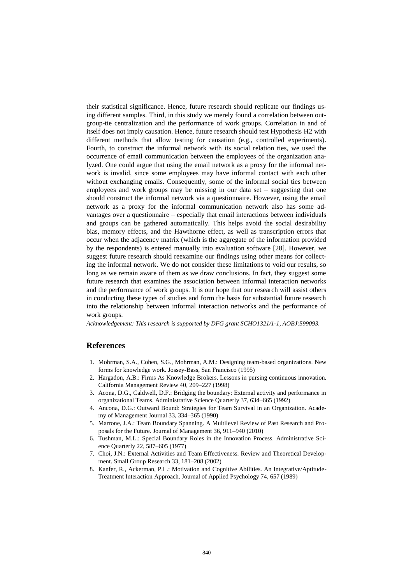their statistical significance. Hence, future research should replicate our findings using different samples. Third, in this study we merely found a correlation between outgroup-tie centralization and the performance of work groups. Correlation in and of itself does not imply causation. Hence, future research should test Hypothesis H2 with different methods that allow testing for causation (e.g., controlled experiments). Fourth, to construct the informal network with its social relation ties, we used the occurrence of email communication between the employees of the organization analyzed. One could argue that using the email network as a proxy for the informal network is invalid, since some employees may have informal contact with each other without exchanging emails. Consequently, some of the informal social ties between employees and work groups may be missing in our data set – suggesting that one should construct the informal network via a questionnaire. However, using the email network as a proxy for the informal communication network also has some advantages over a questionnaire – especially that email interactions between individuals and groups can be gathered automatically. This helps avoid the social desirability bias, memory effects, and the Hawthorne effect, as well as transcription errors that occur when the adjacency matrix (which is the aggregate of the information provided by the respondents) is entered manually into evaluation software [28]. However, we suggest future research should reexamine our findings using other means for collecting the informal network. We do not consider these limitations to void our results, so long as we remain aware of them as we draw conclusions. In fact, they suggest some future research that examines the association between informal interaction networks and the performance of work groups. It is our hope that our research will assist others in conducting these types of studies and form the basis for substantial future research into the relationship between informal interaction networks and the performance of work groups.

*Acknowledgement: This research is supported by DFG grant SCHO1321/1-1, AOBJ:599093.*

# **References**

- 1. Mohrman, S.A., Cohen, S.G., Mohrman, A.M.: Designing team-based organizations. New forms for knowledge work. Jossey-Bass, San Francisco (1995)
- 2. Hargadon, A.B.: Firms As Knowledge Brokers. Lessons in pursing continuous innovation. California Management Review 40, 209–227 (1998)
- 3. Acona, D.G., Caldwell, D.F.: Bridging the boundary: External activity and performance in organizational Teams. Administrative Science Quarterly 37, 634–665 (1992)
- 4. Ancona, D.G.: Outward Bound: Strategies for Team Survival in an Organization. Academy of Management Journal 33, 334–365 (1990)
- 5. Marrone, J.A.: Team Boundary Spanning. A Multilevel Review of Past Research and Proposals for the Future. Journal of Management 36, 911–940 (2010)
- 6. Tushman, M.L.: Special Boundary Roles in the Innovation Process. Administrative Science Quarterly 22, 587–605 (1977)
- 7. Choi, J.N.: External Activities and Team Effectiveness. Review and Theoretical Development. Small Group Research 33, 181–208 (2002)
- 8. Kanfer, R., Ackerman, P.L.: Motivation and Cognitive Abilities. An Integrative/Aptitude-Treatment Interaction Approach. Journal of Applied Psychology 74, 657 (1989)